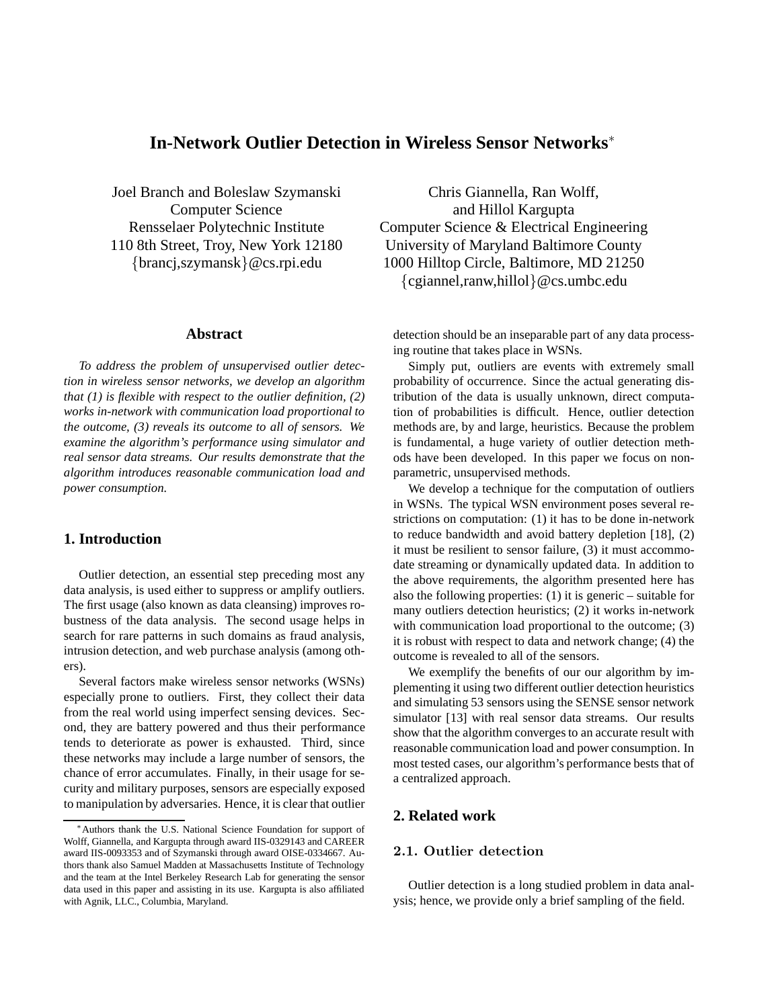# **In-Network Outlier Detection in Wireless Sensor Networks**<sup>∗</sup>

Joel Branch and Boleslaw Szymanski Computer Science Rensselaer Polytechnic Institute 110 8th Street, Troy, New York 12180 {brancj,szymansk}@cs.rpi.edu

#### **Abstract**

*To address the problem of unsupervised outlier detection in wireless sensor networks, we develop an algorithm that (1) is flexible with respect to the outlier definition, (2) works in-network with communication load proportional to the outcome, (3) reveals its outcome to all of sensors. We examine the algorithm's performance using simulator and real sensor data streams. Our results demonstrate that the algorithm introduces reasonable communication load and power consumption.*

## **1. Introduction**

Outlier detection, an essential step preceding most any data analysis, is used either to suppress or amplify outliers. The first usage (also known as data cleansing) improves robustness of the data analysis. The second usage helps in search for rare patterns in such domains as fraud analysis, intrusion detection, and web purchase analysis (among others).

Several factors make wireless sensor networks (WSNs) especially prone to outliers. First, they collect their data from the real world using imperfect sensing devices. Second, they are battery powered and thus their performance tends to deteriorate as power is exhausted. Third, since these networks may include a large number of sensors, the chance of error accumulates. Finally, in their usage for security and military purposes, sensors are especially exposed to manipulation by adversaries. Hence, it is clear that outlier

Chris Giannella, Ran Wolff, and Hillol Kargupta Computer Science & Electrical Engineering University of Maryland Baltimore County 1000 Hilltop Circle, Baltimore, MD 21250 {cgiannel,ranw,hillol}@cs.umbc.edu

detection should be an inseparable part of any data processing routine that takes place in WSNs.

Simply put, outliers are events with extremely small probability of occurrence. Since the actual generating distribution of the data is usually unknown, direct computation of probabilities is difficult. Hence, outlier detection methods are, by and large, heuristics. Because the problem is fundamental, a huge variety of outlier detection methods have been developed. In this paper we focus on nonparametric, unsupervised methods.

We develop a technique for the computation of outliers in WSNs. The typical WSN environment poses several restrictions on computation: (1) it has to be done in-network to reduce bandwidth and avoid battery depletion [18], (2) it must be resilient to sensor failure, (3) it must accommodate streaming or dynamically updated data. In addition to the above requirements, the algorithm presented here has also the following properties: (1) it is generic – suitable for many outliers detection heuristics; (2) it works in-network with communication load proportional to the outcome; (3) it is robust with respect to data and network change; (4) the outcome is revealed to all of the sensors.

We exemplify the benefits of our our algorithm by implementing it using two different outlier detection heuristics and simulating 53 sensors using the SENSE sensor network simulator [13] with real sensor data streams. Our results show that the algorithm converges to an accurate result with reasonable communication load and power consumption. In most tested cases, our algorithm's performance bests that of a centralized approach.

## **2. Related work**

## 2.1. Outlier detection

Outlier detection is a long studied problem in data analysis; hence, we provide only a brief sampling of the field.

<sup>∗</sup>Authors thank the U.S. National Science Foundation for support of Wolff, Giannella, and Kargupta through award IIS-0329143 and CAREER award IIS-0093353 and of Szymanski through award OISE-0334667. Authors thank also Samuel Madden at Massachusetts Institute of Technology and the team at the Intel Berkeley Research Lab for generating the sensor data used in this paper and assisting in its use. Kargupta is also affiliated with Agnik, LLC., Columbia, Maryland.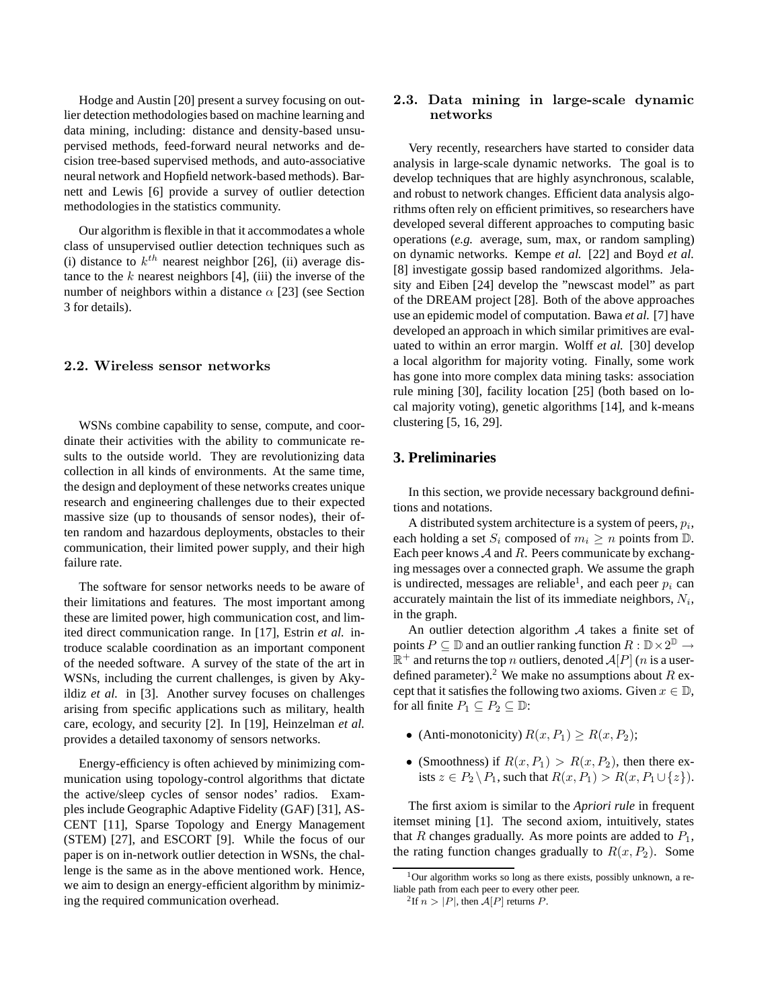Hodge and Austin [20] present a survey focusing on outlier detection methodologies based on machine learning and data mining, including: distance and density-based unsupervised methods, feed-forward neural networks and decision tree-based supervised methods, and auto-associative neural network and Hopfield network-based methods). Barnett and Lewis [6] provide a survey of outlier detection methodologies in the statistics community.

Our algorithm is flexible in that it accommodates a whole class of unsupervised outlier detection techniques such as (i) distance to  $k^{th}$  nearest neighbor [26], (ii) average distance to the  $k$  nearest neighbors [4], (iii) the inverse of the number of neighbors within a distance  $\alpha$  [23] (see Section 3 for details).

#### 2.2. Wireless sensor networks

WSNs combine capability to sense, compute, and coordinate their activities with the ability to communicate results to the outside world. They are revolutionizing data collection in all kinds of environments. At the same time, the design and deployment of these networks creates unique research and engineering challenges due to their expected massive size (up to thousands of sensor nodes), their often random and hazardous deployments, obstacles to their communication, their limited power supply, and their high failure rate.

The software for sensor networks needs to be aware of their limitations and features. The most important among these are limited power, high communication cost, and limited direct communication range. In [17], Estrin *et al.* introduce scalable coordination as an important component of the needed software. A survey of the state of the art in WSNs, including the current challenges, is given by Akyildiz *et al.* in [3]. Another survey focuses on challenges arising from specific applications such as military, health care, ecology, and security [2]. In [19], Heinzelman *et al.* provides a detailed taxonomy of sensors networks.

Energy-efficiency is often achieved by minimizing communication using topology-control algorithms that dictate the active/sleep cycles of sensor nodes' radios. Examples include Geographic Adaptive Fidelity (GAF) [31], AS-CENT [11], Sparse Topology and Energy Management (STEM) [27], and ESCORT [9]. While the focus of our paper is on in-network outlier detection in WSNs, the challenge is the same as in the above mentioned work. Hence, we aim to design an energy-efficient algorithm by minimizing the required communication overhead.

## 2.3. Data mining in large-scale dynamic networks

Very recently, researchers have started to consider data analysis in large-scale dynamic networks. The goal is to develop techniques that are highly asynchronous, scalable, and robust to network changes. Efficient data analysis algorithms often rely on efficient primitives, so researchers have developed several different approaches to computing basic operations (*e.g.* average, sum, max, or random sampling) on dynamic networks. Kempe *et al.* [22] and Boyd *et al.* [8] investigate gossip based randomized algorithms. Jelasity and Eiben [24] develop the "newscast model" as part of the DREAM project [28]. Both of the above approaches use an epidemic model of computation. Bawa *et al.* [7] have developed an approach in which similar primitives are evaluated to within an error margin. Wolff *et al.* [30] develop a local algorithm for majority voting. Finally, some work has gone into more complex data mining tasks: association rule mining [30], facility location [25] (both based on local majority voting), genetic algorithms [14], and k-means clustering [5, 16, 29].

## **3. Preliminaries**

In this section, we provide necessary background definitions and notations.

A distributed system architecture is a system of peers,  $p_i$ , each holding a set  $S_i$  composed of  $m_i \geq n$  points from  $\mathbb{D}$ . Each peer knows  $A$  and  $R$ . Peers communicate by exchanging messages over a connected graph. We assume the graph is undirected, messages are reliable<sup>1</sup>, and each peer  $p_i$  can accurately maintain the list of its immediate neighbors,  $N_i$ , in the graph.

An outlier detection algorithm A takes a finite set of points  $P \subseteq \mathbb{D}$  and an outlier ranking function  $R : \mathbb{D} \times 2^{\mathbb{D}} \to$  $\mathbb{R}^+$  and returns the top n outliers, denoted  $\mathcal{A}[P]$  (n is a userdefined parameter).<sup>2</sup> We make no assumptions about R except that it satisfies the following two axioms. Given  $x \in \mathbb{D}$ , for all finite  $P_1 \subseteq P_2 \subseteq \mathbb{D}$ :

- (Anti-monotonicity)  $R(x, P_1) \ge R(x, P_2)$ ;
- (Smoothness) if  $R(x, P_1) > R(x, P_2)$ , then there exists  $z \in P_2 \backslash P_1$ , such that  $R(x, P_1) > R(x, P_1 \cup \{z\}).$

The first axiom is similar to the *Apriori rule* in frequent itemset mining [1]. The second axiom, intuitively, states that R changes gradually. As more points are added to  $P_1$ , the rating function changes gradually to  $R(x, P_2)$ . Some

 $1$ Our algorithm works so long as there exists, possibly unknown, a reliable path from each peer to every other peer.

<sup>&</sup>lt;sup>2</sup>If  $n > |P|$ , then  $A[P]$  returns P.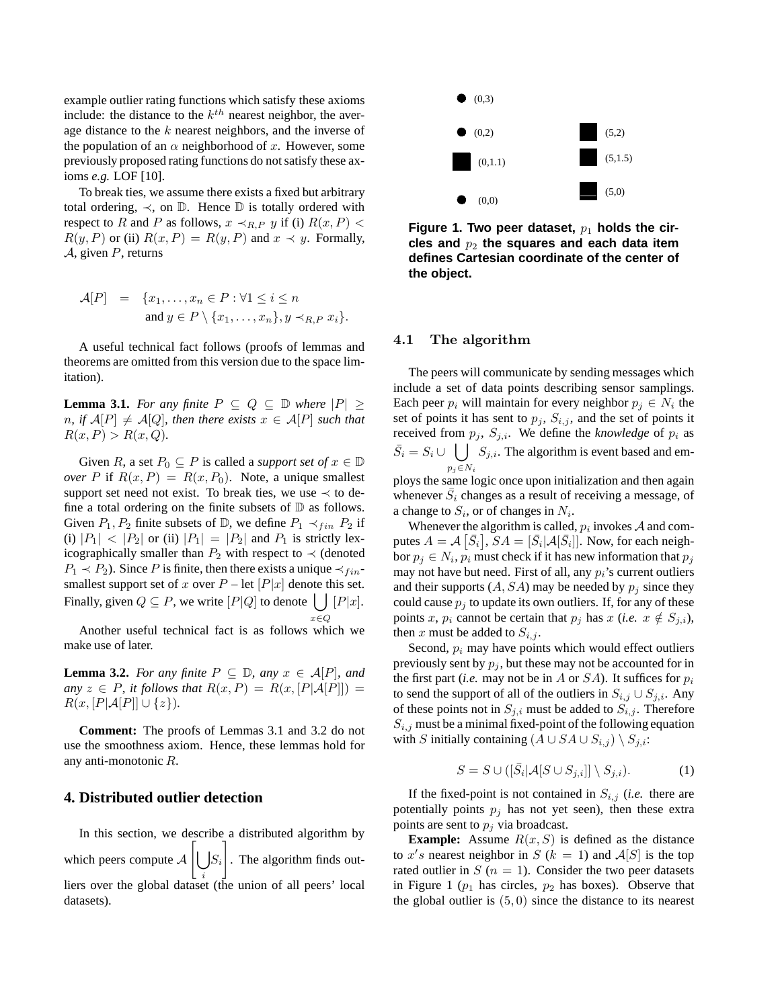example outlier rating functions which satisfy these axioms include: the distance to the  $k^{th}$  nearest neighbor, the average distance to the k nearest neighbors, and the inverse of the population of an  $\alpha$  neighborhood of x. However, some previously proposed rating functions do not satisfy these axioms *e.g.* LOF [10].

To break ties, we assume there exists a fixed but arbitrary total ordering,  $\prec$ , on  $\mathbb D$ . Hence  $\mathbb D$  is totally ordered with respect to R and P as follows,  $x \prec_{R,P} y$  if (i)  $R(x, P)$  <  $R(y, P)$  or (ii)  $R(x, P) = R(y, P)$  and  $x \prec y$ . Formally,  $A$ , given  $P$ , returns

$$
\mathcal{A}[P] = \{x_1, \dots, x_n \in P : \forall 1 \le i \le n
$$
  
and  $y \in P \setminus \{x_1, \dots, x_n\}, y \prec_{R,P} x_i\}.$ 

A useful technical fact follows (proofs of lemmas and theorems are omitted from this version due to the space limitation).

**Lemma 3.1.** *For any finite*  $P \subseteq Q \subseteq D$  *where*  $|P| \ge$ *n, if*  $A[P] \neq A[Q]$ *, then there exists*  $x \in A[P]$  *such that*  $R(x, P) > R(x, Q)$ .

Given R, a set  $P_0 \subseteq P$  is called a *support set of*  $x \in \mathbb{D}$ *over* P if  $R(x, P) = R(x, P_0)$ . Note, a unique smallest support set need not exist. To break ties, we use  $\prec$  to define a total ordering on the finite subsets of  $D$  as follows. Given  $P_1$ ,  $P_2$  finite subsets of  $\mathbb{D}$ , we define  $P_1 \prec_{fin} P_2$  if (i)  $|P_1|$  <  $|P_2|$  or (ii)  $|P_1|$  =  $|P_2|$  and  $P_1$  is strictly lexicographically smaller than  $P_2$  with respect to  $\prec$  (denoted  $P_1 \prec P_2$ ). Since P is finite, then there exists a unique  $\prec_{fin}$ smallest support set of x over  $P$  – let  $[P|x]$  denote this set. Finally, given  $Q \subseteq P$ , we write  $[P|Q]$  to denote  $\left| \begin{array}{c} | \\ | \end{array} \right] [P|x]$ .  $x\!\in\!Q$ 

Another useful technical fact is as follows which we make use of later.

**Lemma 3.2.** *For any finite*  $P \subseteq D$ *, any*  $x \in A[P]$ *, and any*  $z \in P$ , *it follows that*  $R(x, P) = R(x, [P | A[P]])$  $R(x, [P|A[P]] \cup \{z\}).$ 

**Comment:** The proofs of Lemmas 3.1 and 3.2 do not use the smoothness axiom. Hence, these lemmas hold for any anti-monotonic R.

## **4. Distributed outlier detection**

In this section, we describe a distributed algorithm by which peers compute  $\mathcal{A} \left[ \bigcup S_i \right]$ liers over the global dataset (the union of all peers' local 1 . The algorithm finds outdatasets).



Figure 1. Two peer dataset,  $p_1$  holds the circles and  $p_2$  the squares and each data item **defines Cartesian coordinate of the center of the object.**

#### 4.1 The algorithm

The peers will communicate by sending messages which include a set of data points describing sensor samplings. Each peer  $p_i$  will maintain for every neighbor  $p_j \in N_i$  the set of points it has sent to  $p_i$ ,  $S_{i,j}$ , and the set of points it received from  $p_j$ ,  $S_{j,i}$ . We define the *knowledge* of  $p_i$  as  $\bar{S}_i = S_i \cup \left( \int S_{j,i}$ . The algorithm is event based and em $p_j \in N_i$ 

ploys the same logic once upon initialization and then again whenever  $\bar{S}_i$  changes as a result of receiving a message, of a change to  $S_i$ , or of changes in  $N_i$ .

Whenever the algorithm is called,  $p_i$  invokes  $A$  and computes  $A = \mathcal{A} \left[ \bar{S}_i \right], SA = \left[ \bar{S}_i \middle| \mathcal{A} \left[ \bar{S}_i \right] \right]$ . Now, for each neighbor  $p_j \in N_i$ ,  $p_i$  must check if it has new information that  $p_j$ may not have but need. First of all, any  $p_i$ 's current outliers and their supports  $(A, SA)$  may be needed by  $p_i$  since they could cause  $p_i$  to update its own outliers. If, for any of these points x,  $p_i$  cannot be certain that  $p_j$  has  $x$  (*i.e.*  $x \notin S_{j,i}$ ), then x must be added to  $S_{i,j}$ .

Second,  $p_i$  may have points which would effect outliers previously sent by  $p_i$ , but these may not be accounted for in the first part (*i.e.* may not be in A or  $SA$ ). It suffices for  $p_i$ to send the support of all of the outliers in  $S_{i,j} \cup S_{j,i}$ . Any of these points not in  $S_{j,i}$  must be added to  $S_{i,j}$ . Therefore  $S_{i,j}$  must be a minimal fixed-point of the following equation with S initially containing  $(A \cup SA \cup S_{i,j}) \setminus S_{j,i}$ :

$$
S = S \cup ([\bar{S}_i | \mathcal{A}[S \cup S_{j,i}]] \setminus S_{j,i}). \tag{1}
$$

If the fixed-point is not contained in  $S_{i,j}$  (*i.e.* there are potentially points  $p_j$  has not yet seen), then these extra points are sent to  $p_j$  via broadcast.

**Example:** Assume  $R(x, S)$  is defined as the distance to x's nearest neighbor in S ( $k = 1$ ) and  $\mathcal{A}[S]$  is the top rated outlier in  $S(n = 1)$ . Consider the two peer datasets in Figure 1 ( $p_1$  has circles,  $p_2$  has boxes). Observe that the global outlier is  $(5, 0)$  since the distance to its nearest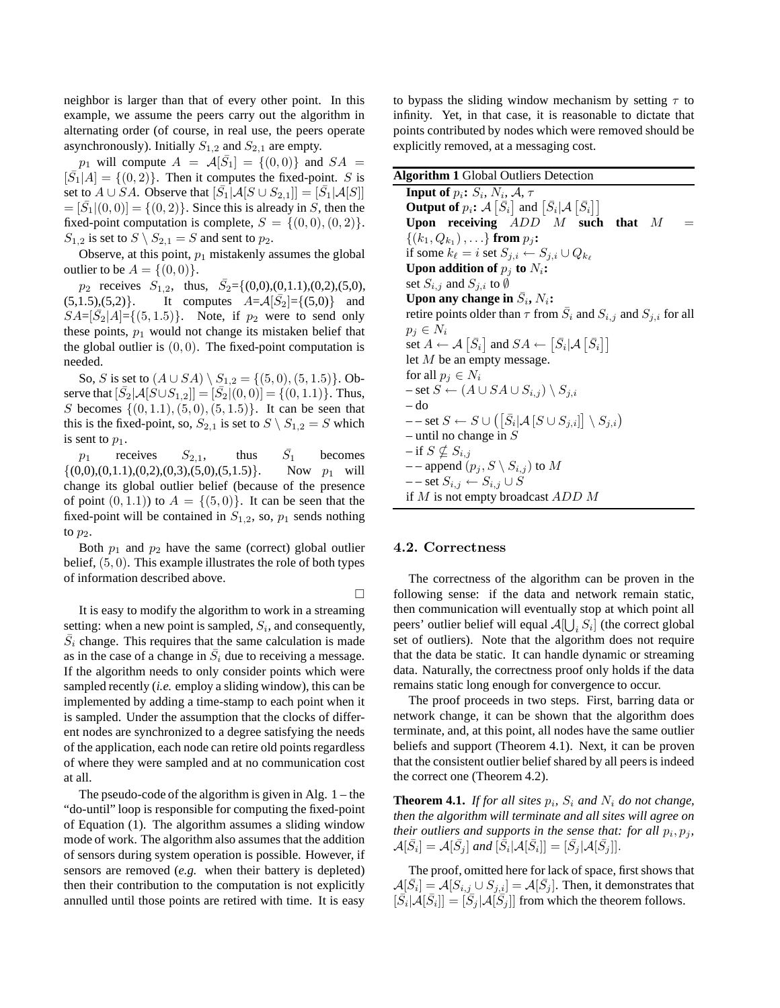neighbor is larger than that of every other point. In this example, we assume the peers carry out the algorithm in alternating order (of course, in real use, the peers operate asynchronously). Initially  $S_{1,2}$  and  $S_{2,1}$  are empty.

 $p_1$  will compute  $A = \mathcal{A}[\bar{S}_1] = \{(0,0)\}\$ and  $SA =$  $[\overline{S}_1|A] = \{(0, 2)\}\.$  Then it computes the fixed-point. S is set to  $A \cup \overline{S}A$ . Observe that  $[\overline{S}_1]A[S \cup S_{2,1}]] = [\overline{S}_1|A[S]]$  $=[\overline{S}_1|(0,0)]=\{(0,2)\}\.$  Since this is already in S, then the fixed-point computation is complete,  $S = \{(0, 0), (0, 2)\}.$  $S_{1,2}$  is set to  $S \setminus S_{2,1} = S$  and sent to  $p_2$ .

Observe, at this point,  $p_1$  mistakenly assumes the global outlier to be  $A = \{(0, 0)\}.$ 

 $p_2$  receives  $S_{1,2}$ , thus,  $\bar{S}_2 = \{(0,0), (0,1.1), (0,2), (5,0),\}$  $(5,1.5), (5,2)$ . It computes  $A = \mathcal{A}[\bar{S}_2] = \{(5,0)\}$  and  $SA = [\bar{S}_2 | A] = \{(5, 1.5)\}.$  Note, if  $p_2$  were to send only these points,  $p_1$  would not change its mistaken belief that the global outlier is  $(0, 0)$ . The fixed-point computation is needed.

So, S is set to  $(A \cup SA) \setminus S_{1,2} = \{(5,0), (5,1.5)\}\)$ . Observe that  $[\bar{S}_2 | \mathcal{A}[S \cup S_{1,2}]]=[\bar{S}_2 | (0,0)]=\{(0,1.1)\}$ . Thus, S becomes  $\{(0, 1.1), (5, 0), (5, 1.5)\}.$  It can be seen that this is the fixed-point, so,  $S_{2,1}$  is set to  $S \setminus S_{1,2} = S$  which is sent to  $p_1$ .

 $p_1$  receives  $S_{2,1}$ , thus  $\bar{S}_1$ **becomes**  $\{(0,0), (0,1.1), (0,2), (0,3), (5,0), (5,1.5)\}.$  Now  $p_1$  will change its global outlier belief (because of the presence of point  $(0, 1.1)$  to  $A = \{(5, 0)\}.$  It can be seen that the fixed-point will be contained in  $S_{1,2}$ , so,  $p_1$  sends nothing to  $p_2$ .

Both  $p_1$  and  $p_2$  have the same (correct) global outlier belief,  $(5, 0)$ . This example illustrates the role of both types of information described above.

It is easy to modify the algorithm to work in a streaming setting: when a new point is sampled,  $S_i$ , and consequently,  $\overline{S}_i$  change. This requires that the same calculation is made as in the case of a change in  $\overline{S}_i$  due to receiving a message. If the algorithm needs to only consider points which were sampled recently (*i.e.* employ a sliding window), this can be implemented by adding a time-stamp to each point when it is sampled. Under the assumption that the clocks of different nodes are synchronized to a degree satisfying the needs of the application, each node can retire old points regardless of where they were sampled and at no communication cost at all.

The pseudo-code of the algorithm is given in Alg.  $1$  – the "do-until" loop is responsible for computing the fixed-point of Equation (1). The algorithm assumes a sliding window mode of work. The algorithm also assumes that the addition of sensors during system operation is possible. However, if sensors are removed (*e.g.* when their battery is depleted) then their contribution to the computation is not explicitly annulled until those points are retired with time. It is easy

to bypass the sliding window mechanism by setting  $\tau$  to infinity. Yet, in that case, it is reasonable to dictate that points contributed by nodes which were removed should be explicitly removed, at a messaging cost.

| <b>Algorithm 1 Global Outliers Detection</b>                                                                                                |
|---------------------------------------------------------------------------------------------------------------------------------------------|
| <b>Input of</b> $p_i$ : $S_i$ , $N_i$ , $A$ , $\tau$                                                                                        |
| <b>Output of</b> $p_i$ : $\mathcal{A} \left[ \bar{S}_i \right]$ and $\left[ \bar{S}_i   \mathcal{A} \left[ \bar{S}_i \right] \right]$       |
| Upon receiving $ADD \t M$ such that M                                                                                                       |
| $\{(k_1, Q_{k_1}), \ldots\}$ from $p_i$ :                                                                                                   |
| if some $k_{\ell} = i$ set $S_{j,i} \leftarrow S_{j,i} \cup Q_{k_{\ell}}$                                                                   |
| Upon addition of $p_i$ to $N_i$ :                                                                                                           |
| set $S_{i,j}$ and $S_{j,i}$ to $\emptyset$                                                                                                  |
| Upon any change in $S_i$ , $N_i$ :                                                                                                          |
| retire points older than $\tau$ from $S_i$ and $S_{i,j}$ and $S_{j,i}$ for all                                                              |
| $p_i \in N_i$                                                                                                                               |
| set $A \leftarrow \mathcal{A} \left[ \bar{S}_i \right]$ and $SA \leftarrow \left[ \bar{S}_i   \mathcal{A} \left[ \bar{S}_i \right] \right]$ |
| let $M$ be an empty message.                                                                                                                |
| for all $p_i \in N_i$                                                                                                                       |
| $-$ set $S \leftarrow (A \cup SA \cup S_{i,j}) \setminus S_{i,i}$                                                                           |
| – do                                                                                                                                        |
| $S - -$ set $S \leftarrow S \cup (\lfloor \bar{S}_i   A \, [S \cup S_{j,i}] \rfloor \setminus S_{j,i})$                                     |
| - until no change in $S$                                                                                                                    |
| $-$ if $S \nsubseteq S_{i,j}$                                                                                                               |
| $-$ append $(p_i, S \setminus S_{i,j})$ to M                                                                                                |
| $--$ set $S_{i,j} \leftarrow S_{i,j} \cup S$                                                                                                |
| if $M$ is not empty broadcast $ADD$ $M$                                                                                                     |

#### 4.2. Correctness

 $\Box$ 

The correctness of the algorithm can be proven in the following sense: if the data and network remain static, then communication will eventually stop at which point all peers' outlier belief will equal  $\mathcal{A}[\bigcup_i S_i]$  (the correct global set of outliers). Note that the algorithm does not require that the data be static. It can handle dynamic or streaming data. Naturally, the correctness proof only holds if the data remains static long enough for convergence to occur.

The proof proceeds in two steps. First, barring data or network change, it can be shown that the algorithm does terminate, and, at this point, all nodes have the same outlier beliefs and support (Theorem 4.1). Next, it can be proven that the consistent outlier belief shared by all peers is indeed the correct one (Theorem 4.2).

**Theorem 4.1.** *If for all sites*  $p_i$ ,  $S_i$  *and*  $N_i$  *do not change*, *then the algorithm will terminate and all sites will agree on their outliers and supports in the sense that: for all*  $p_i, p_j$ *,*  $\mathcal{A}[\bar{S}_i] = \mathcal{A}[\bar{S}_j]$  and  $[\bar{\bar{S}}_i | \mathcal{A}[\bar{S}_i]] = [\bar{S}_j | \mathcal{A}[\bar{S}_j]]$ .

The proof, omitted here for lack of space, first shows that  $\mathcal{A}[\bar{S}_i] = \mathcal{A}[S_{i,j} \cup S_{j,i}] = \mathcal{A}[\bar{S}_j]$ . Then, it demonstrates that  $[\bar{S}_i | \bar{\mathcal{A}} [\bar{S}_i]] = [\bar{S}_j | \mathcal{A} [\bar{S}_j]]$  from which the theorem follows.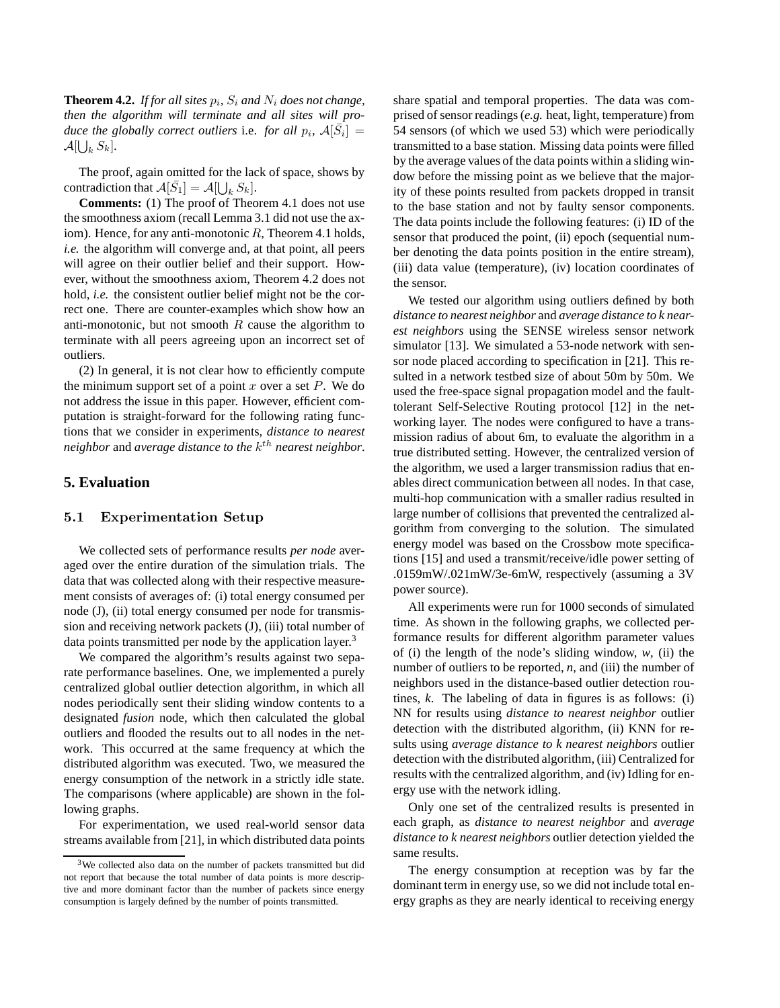**Theorem 4.2.** *If for all sites*  $p_i$ ,  $S_i$  *and*  $N_i$  *does not change*, *then the algorithm will terminate and all sites will produce the globally correct outliers i.e. for all*  $p_i$ *,*  $A[\bar{S}_i] =$  $\mathcal{A}[\bigcup_{k} S_k].$ 

The proof, again omitted for the lack of space, shows by contradiction that  $\mathcal{A}[\bar{S}_1] = \mathcal{A}[\bigcup_k S_k].$ 

**Comments:** (1) The proof of Theorem 4.1 does not use the smoothness axiom (recall Lemma 3.1 did not use the axiom). Hence, for any anti-monotonic  $R$ , Theorem 4.1 holds, *i.e.* the algorithm will converge and, at that point, all peers will agree on their outlier belief and their support. However, without the smoothness axiom, Theorem 4.2 does not hold, *i.e.* the consistent outlier belief might not be the correct one. There are counter-examples which show how an anti-monotonic, but not smooth  $R$  cause the algorithm to terminate with all peers agreeing upon an incorrect set of outliers.

(2) In general, it is not clear how to efficiently compute the minimum support set of a point x over a set  $P$ . We do not address the issue in this paper. However, efficient computation is straight-forward for the following rating functions that we consider in experiments, *distance to nearest neighbor* and *average distance to the* k th *nearest neighbor*.

## **5. Evaluation**

#### 5.1 Experimentation Setup

We collected sets of performance results *per node* averaged over the entire duration of the simulation trials. The data that was collected along with their respective measurement consists of averages of: (i) total energy consumed per node (J), (ii) total energy consumed per node for transmission and receiving network packets (J), (iii) total number of data points transmitted per node by the application layer.<sup>3</sup>

We compared the algorithm's results against two separate performance baselines. One, we implemented a purely centralized global outlier detection algorithm, in which all nodes periodically sent their sliding window contents to a designated *fusion* node, which then calculated the global outliers and flooded the results out to all nodes in the network. This occurred at the same frequency at which the distributed algorithm was executed. Two, we measured the energy consumption of the network in a strictly idle state. The comparisons (where applicable) are shown in the following graphs.

For experimentation, we used real-world sensor data streams available from [21], in which distributed data points share spatial and temporal properties. The data was comprised of sensor readings (*e.g.* heat, light, temperature) from 54 sensors (of which we used 53) which were periodically transmitted to a base station. Missing data points were filled by the average values of the data points within a sliding window before the missing point as we believe that the majority of these points resulted from packets dropped in transit to the base station and not by faulty sensor components. The data points include the following features: (i) ID of the sensor that produced the point, (ii) epoch (sequential number denoting the data points position in the entire stream), (iii) data value (temperature), (iv) location coordinates of the sensor.

We tested our algorithm using outliers defined by both *distance to nearest neighbor* and *average distance to k nearest neighbors* using the SENSE wireless sensor network simulator [13]. We simulated a 53-node network with sensor node placed according to specification in [21]. This resulted in a network testbed size of about 50m by 50m. We used the free-space signal propagation model and the faulttolerant Self-Selective Routing protocol [12] in the networking layer. The nodes were configured to have a transmission radius of about 6m, to evaluate the algorithm in a true distributed setting. However, the centralized version of the algorithm, we used a larger transmission radius that enables direct communication between all nodes. In that case, multi-hop communication with a smaller radius resulted in large number of collisions that prevented the centralized algorithm from converging to the solution. The simulated energy model was based on the Crossbow mote specifications [15] and used a transmit/receive/idle power setting of .0159mW/.021mW/3e-6mW, respectively (assuming a 3V power source).

All experiments were run for 1000 seconds of simulated time. As shown in the following graphs, we collected performance results for different algorithm parameter values of (i) the length of the node's sliding window, *w*, (ii) the number of outliers to be reported, *n*, and (iii) the number of neighbors used in the distance-based outlier detection routines, *k*. The labeling of data in figures is as follows: (i) NN for results using *distance to nearest neighbor* outlier detection with the distributed algorithm, (ii) KNN for results using *average distance to k nearest neighbors* outlier detection with the distributed algorithm, (iii) Centralized for results with the centralized algorithm, and (iv) Idling for energy use with the network idling.

Only one set of the centralized results is presented in each graph, as *distance to nearest neighbor* and *average distance to k nearest neighbors* outlier detection yielded the same results.

The energy consumption at reception was by far the dominant term in energy use, so we did not include total energy graphs as they are nearly identical to receiving energy

<sup>3</sup>We collected also data on the number of packets transmitted but did not report that because the total number of data points is more descriptive and more dominant factor than the number of packets since energy consumption is largely defined by the number of points transmitted.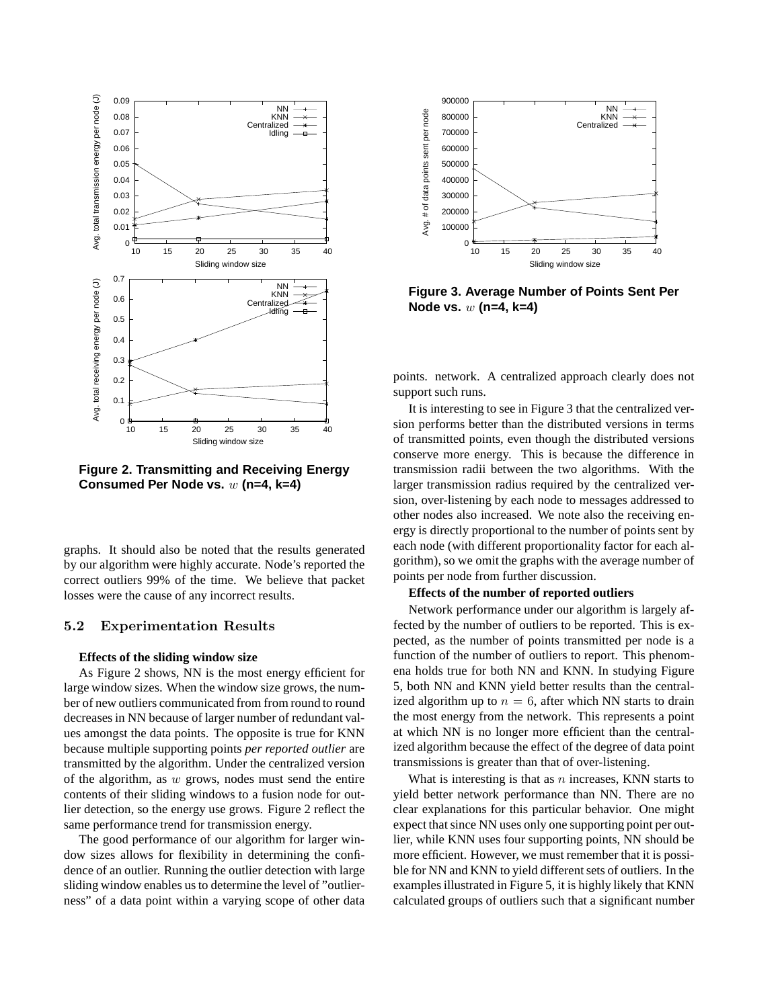

**Figure 2. Transmitting and Receiving Energy Consumed Per Node vs.** w **(n=4, k=4)**

graphs. It should also be noted that the results generated by our algorithm were highly accurate. Node's reported the correct outliers 99% of the time. We believe that packet losses were the cause of any incorrect results.

#### 5.2 Experimentation Results

#### **Effects of the sliding window size**

As Figure 2 shows, NN is the most energy efficient for large window sizes. When the window size grows, the number of new outliers communicated from from round to round decreases in NN because of larger number of redundant values amongst the data points. The opposite is true for KNN because multiple supporting points *per reported outlier* are transmitted by the algorithm. Under the centralized version of the algorithm, as  $w$  grows, nodes must send the entire contents of their sliding windows to a fusion node for outlier detection, so the energy use grows. Figure 2 reflect the same performance trend for transmission energy.

The good performance of our algorithm for larger window sizes allows for flexibility in determining the confidence of an outlier. Running the outlier detection with large sliding window enables us to determine the level of "outlierness" of a data point within a varying scope of other data



**Figure 3. Average Number of Points Sent Per Node vs.** w **(n=4, k=4)**

points. network. A centralized approach clearly does not support such runs.

It is interesting to see in Figure 3 that the centralized version performs better than the distributed versions in terms of transmitted points, even though the distributed versions conserve more energy. This is because the difference in transmission radii between the two algorithms. With the larger transmission radius required by the centralized version, over-listening by each node to messages addressed to other nodes also increased. We note also the receiving energy is directly proportional to the number of points sent by each node (with different proportionality factor for each algorithm), so we omit the graphs with the average number of points per node from further discussion.

#### **Effects of the number of reported outliers**

Network performance under our algorithm is largely affected by the number of outliers to be reported. This is expected, as the number of points transmitted per node is a function of the number of outliers to report. This phenomena holds true for both NN and KNN. In studying Figure 5, both NN and KNN yield better results than the centralized algorithm up to  $n = 6$ , after which NN starts to drain the most energy from the network. This represents a point at which NN is no longer more efficient than the centralized algorithm because the effect of the degree of data point transmissions is greater than that of over-listening.

What is interesting is that as  $n$  increases, KNN starts to yield better network performance than NN. There are no clear explanations for this particular behavior. One might expect that since NN uses only one supporting point per outlier, while KNN uses four supporting points, NN should be more efficient. However, we must remember that it is possible for NN and KNN to yield different sets of outliers. In the examples illustrated in Figure 5, it is highly likely that KNN calculated groups of outliers such that a significant number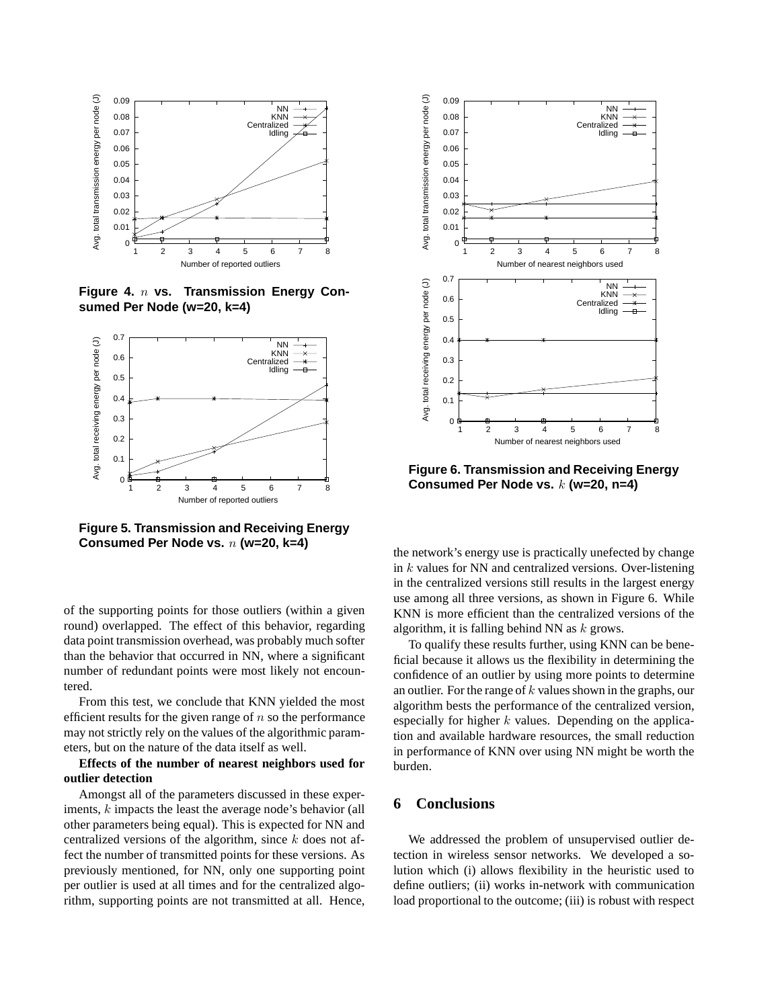

**Figure 4.** n **vs. Transmission Energy Consumed Per Node (w=20, k=4)**



**Figure 5. Transmission and Receiving Energy Consumed Per Node vs.** n **(w=20, k=4)**

of the supporting points for those outliers (within a given round) overlapped. The effect of this behavior, regarding data point transmission overhead, was probably much softer than the behavior that occurred in NN, where a significant number of redundant points were most likely not encountered.

From this test, we conclude that KNN yielded the most efficient results for the given range of  $n$  so the performance may not strictly rely on the values of the algorithmic parameters, but on the nature of the data itself as well.

## **Effects of the number of nearest neighbors used for outlier detection**

Amongst all of the parameters discussed in these experiments, k impacts the least the average node's behavior (all other parameters being equal). This is expected for NN and centralized versions of the algorithm, since  $k$  does not affect the number of transmitted points for these versions. As previously mentioned, for NN, only one supporting point per outlier is used at all times and for the centralized algorithm, supporting points are not transmitted at all. Hence,



**Figure 6. Transmission and Receiving Energy Consumed Per Node vs.** k **(w=20, n=4)**

the network's energy use is practically unefected by change in k values for NN and centralized versions. Over-listening in the centralized versions still results in the largest energy use among all three versions, as shown in Figure 6. While KNN is more efficient than the centralized versions of the algorithm, it is falling behind NN as  $k$  grows.

To qualify these results further, using KNN can be beneficial because it allows us the flexibility in determining the confidence of an outlier by using more points to determine an outlier. For the range of  $k$  values shown in the graphs, our algorithm bests the performance of the centralized version, especially for higher  $k$  values. Depending on the application and available hardware resources, the small reduction in performance of KNN over using NN might be worth the burden.

## **6 Conclusions**

We addressed the problem of unsupervised outlier detection in wireless sensor networks. We developed a solution which (i) allows flexibility in the heuristic used to define outliers; (ii) works in-network with communication load proportional to the outcome; (iii) is robust with respect